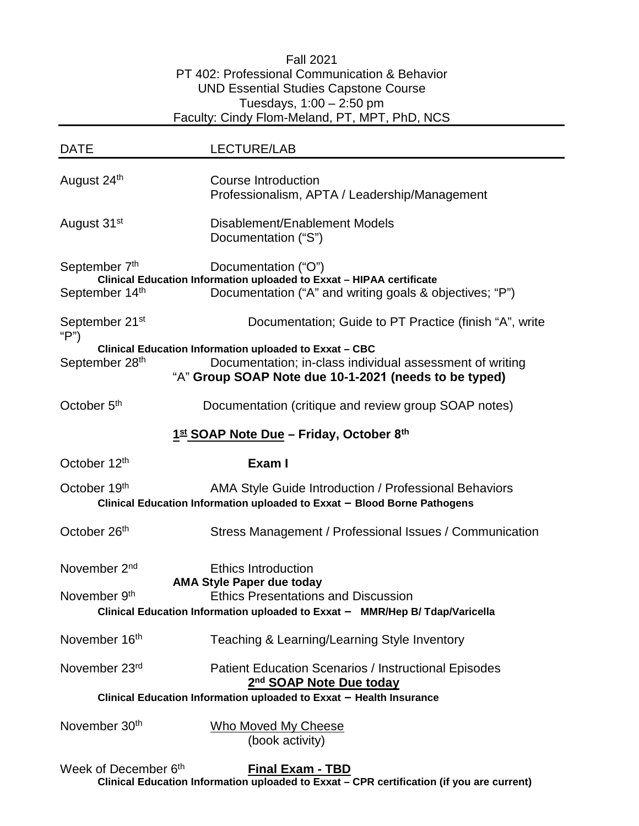### Fall 2021 PT 402: Professional Communication & Behavior UND Essential Studies Capstone Course Tuesdays,  $1:00 - 2:50$  pm Faculty: Cindy Flom-Meland, PT, MPT, PhD, NCS

| <b>DATE</b>                                                                                                                                       | <b>LECTURE/LAB</b>                                                                                                                                                                           |  |  |  |  |
|---------------------------------------------------------------------------------------------------------------------------------------------------|----------------------------------------------------------------------------------------------------------------------------------------------------------------------------------------------|--|--|--|--|
| August 24th                                                                                                                                       | <b>Course Introduction</b><br>Professionalism, APTA / Leadership/Management                                                                                                                  |  |  |  |  |
| August 31 <sup>st</sup>                                                                                                                           | Disablement/Enablement Models<br>Documentation ("S")                                                                                                                                         |  |  |  |  |
| September 7th<br>September 14th                                                                                                                   | Documentation ("O")<br>Clinical Education Information uploaded to Exxat - HIPAA certificate<br>Documentation ("A" and writing goals & objectives; "P")                                       |  |  |  |  |
| September 21 <sup>st</sup><br>" $P$ ")                                                                                                            | Documentation; Guide to PT Practice (finish "A", write                                                                                                                                       |  |  |  |  |
| September 28th                                                                                                                                    | Clinical Education Information uploaded to Exxat - CBC<br>Documentation; in-class individual assessment of writing<br>"A" Group SOAP Note due 10-1-2021 (needs to be typed)                  |  |  |  |  |
| October 5 <sup>th</sup>                                                                                                                           | Documentation (critique and review group SOAP notes)                                                                                                                                         |  |  |  |  |
|                                                                                                                                                   | $1st$ SOAP Note Due – Friday, October 8 <sup>th</sup>                                                                                                                                        |  |  |  |  |
| October 12 <sup>th</sup>                                                                                                                          | Exam I                                                                                                                                                                                       |  |  |  |  |
| October 19th<br>AMA Style Guide Introduction / Professional Behaviors<br>Clinical Education Information uploaded to Exxat - Blood Borne Pathogens |                                                                                                                                                                                              |  |  |  |  |
| October 26th                                                                                                                                      | Stress Management / Professional Issues / Communication                                                                                                                                      |  |  |  |  |
| November 2 <sup>nd</sup><br>November 9 <sup>th</sup>                                                                                              | <b>Ethics Introduction</b><br><b>AMA Style Paper due today</b><br><b>Ethics Presentations and Discussion</b><br>Clinical Education Information uploaded to Exxat - MMR/Hep B/ Tdap/Varicella |  |  |  |  |
| November 16th                                                                                                                                     | Teaching & Learning/Learning Style Inventory                                                                                                                                                 |  |  |  |  |
| November 23rd                                                                                                                                     | <b>Patient Education Scenarios / Instructional Episodes</b><br>2 <sup>nd</sup> SOAP Note Due today                                                                                           |  |  |  |  |
| Clinical Education Information uploaded to Exxat - Health Insurance                                                                               |                                                                                                                                                                                              |  |  |  |  |
| November 30th                                                                                                                                     | <b>Who Moved My Cheese</b><br>(book activity)                                                                                                                                                |  |  |  |  |

Week of December 6th **Final Exam - TBD Clinical Education Information uploaded to Exxat – CPR certification (if you are current)**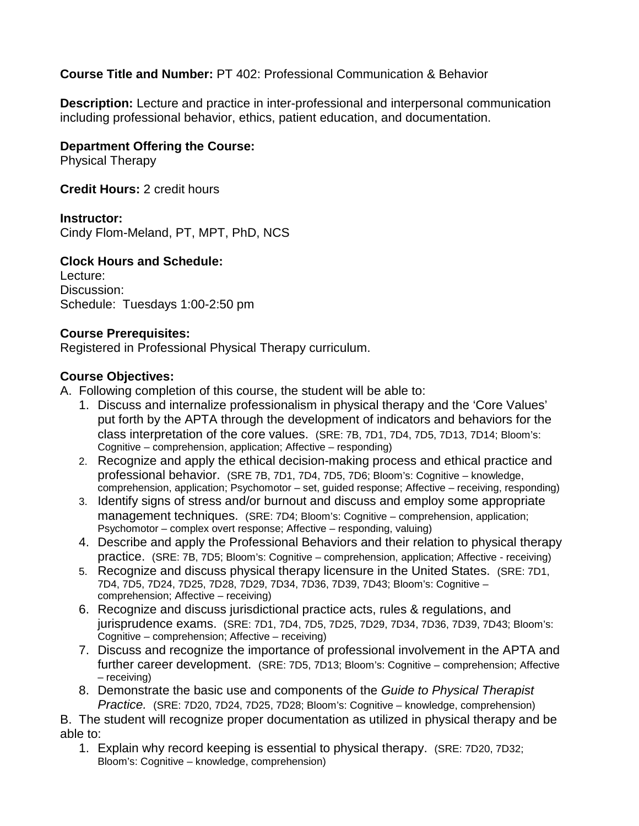## **Course Title and Number:** PT 402: Professional Communication & Behavior

**Description:** Lecture and practice in inter-professional and interpersonal communication including professional behavior, ethics, patient education, and documentation.

## **Department Offering the Course:**

Physical Therapy

**Credit Hours:** 2 credit hours

### **Instructor:**

Cindy Flom-Meland, PT, MPT, PhD, NCS

## **Clock Hours and Schedule:**

Lecture: Discussion: Schedule: Tuesdays 1:00-2:50 pm

### **Course Prerequisites:**

Registered in Professional Physical Therapy curriculum.

## **Course Objectives:**

A. Following completion of this course, the student will be able to:

- 1. Discuss and internalize professionalism in physical therapy and the 'Core Values' put forth by the APTA through the development of indicators and behaviors for the class interpretation of the core values. (SRE: 7B, 7D1, 7D4, 7D5, 7D13, 7D14; Bloom's: Cognitive – comprehension, application; Affective – responding)
- 2. Recognize and apply the ethical decision-making process and ethical practice and professional behavior. (SRE 7B, 7D1, 7D4, 7D5, 7D6; Bloom's: Cognitive – knowledge, comprehension, application; Psychomotor – set, guided response; Affective – receiving, responding)
- 3. Identify signs of stress and/or burnout and discuss and employ some appropriate management techniques. (SRE: 7D4; Bloom's: Cognitive – comprehension, application; Psychomotor – complex overt response; Affective – responding, valuing)
- 4. Describe and apply the Professional Behaviors and their relation to physical therapy practice. (SRE: 7B, 7D5; Bloom's: Cognitive – comprehension, application; Affective - receiving)
- 5. Recognize and discuss physical therapy licensure in the United States. (SRE: 7D1, 7D4, 7D5, 7D24, 7D25, 7D28, 7D29, 7D34, 7D36, 7D39, 7D43; Bloom's: Cognitive – comprehension; Affective – receiving)
- 6. Recognize and discuss jurisdictional practice acts, rules & regulations, and jurisprudence exams. (SRE: 7D1, 7D4, 7D5, 7D25, 7D29, 7D34, 7D36, 7D39, 7D43; Bloom's: Cognitive – comprehension; Affective – receiving)
- 7. Discuss and recognize the importance of professional involvement in the APTA and further career development. (SRE: 7D5, 7D13; Bloom's: Cognitive – comprehension; Affective – receiving)
- 8. Demonstrate the basic use and components of the *Guide to Physical Therapist Practice.* (SRE: 7D20, 7D24, 7D25, 7D28; Bloom's: Cognitive – knowledge, comprehension)

B. The student will recognize proper documentation as utilized in physical therapy and be able to:

1. Explain why record keeping is essential to physical therapy. (SRE: 7D20, 7D32; Bloom's: Cognitive – knowledge, comprehension)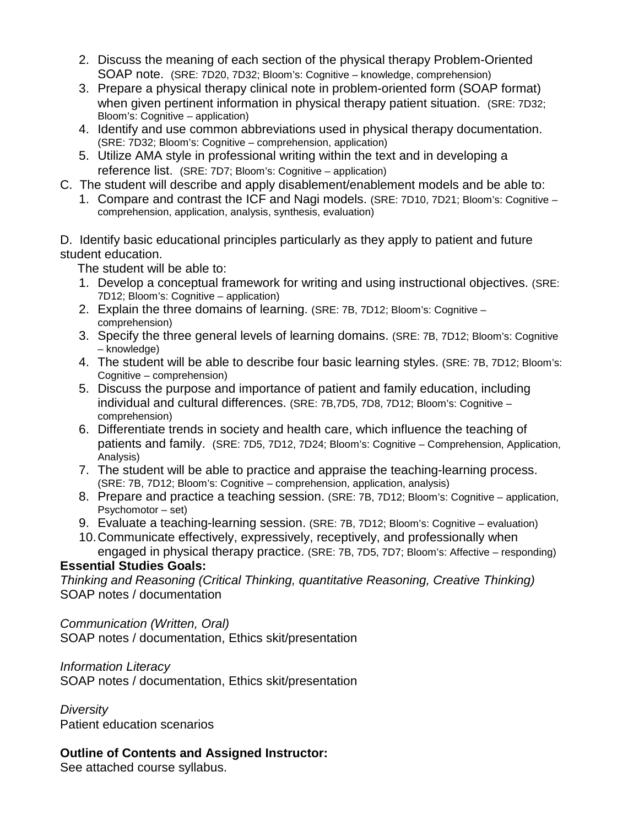- 2. Discuss the meaning of each section of the physical therapy Problem-Oriented SOAP note. (SRE: 7D20, 7D32; Bloom's: Cognitive – knowledge, comprehension)
- 3. Prepare a physical therapy clinical note in problem-oriented form (SOAP format) when given pertinent information in physical therapy patient situation. (SRE: 7D32; Bloom's: Cognitive – application)
- 4. Identify and use common abbreviations used in physical therapy documentation. (SRE: 7D32; Bloom's: Cognitive comprehension, application)
- 5. Utilize AMA style in professional writing within the text and in developing a reference list. (SRE: 7D7; Bloom's: Cognitive – application)
- C. The student will describe and apply disablement/enablement models and be able to:
	- 1. Compare and contrast the ICF and Nagi models. (SRE: 7D10, 7D21; Bloom's: Cognitive comprehension, application, analysis, synthesis, evaluation)

D. Identify basic educational principles particularly as they apply to patient and future student education.

The student will be able to:

- 1. Develop a conceptual framework for writing and using instructional objectives. (SRE: 7D12; Bloom's: Cognitive – application)
- 2. Explain the three domains of learning. (SRE: 7B, 7D12; Bloom's: Cognitive comprehension)
- 3. Specify the three general levels of learning domains. (SRE: 7B, 7D12; Bloom's: Cognitive – knowledge)
- 4. The student will be able to describe four basic learning styles. (SRE: 7B, 7D12; Bloom's: Cognitive – comprehension)
- 5. Discuss the purpose and importance of patient and family education, including individual and cultural differences. (SRE: 7B,7D5, 7D8, 7D12; Bloom's: Cognitive – comprehension)
- 6. Differentiate trends in society and health care, which influence the teaching of patients and family. (SRE: 7D5, 7D12, 7D24; Bloom's: Cognitive – Comprehension, Application, Analysis)
- 7. The student will be able to practice and appraise the teaching-learning process. (SRE: 7B, 7D12; Bloom's: Cognitive – comprehension, application, analysis)
- 8. Prepare and practice a teaching session. (SRE: 7B, 7D12; Bloom's: Cognitive application, Psychomotor – set)
- 9. Evaluate a teaching-learning session. (SRE: 7B, 7D12; Bloom's: Cognitive evaluation)
- 10.Communicate effectively, expressively, receptively, and professionally when engaged in physical therapy practice. (SRE: 7B, 7D5, 7D7; Bloom's: Affective – responding)

## **Essential Studies Goals:**

*Thinking and Reasoning (Critical Thinking, quantitative Reasoning, Creative Thinking)* SOAP notes / documentation

*Communication (Written, Oral)* SOAP notes / documentation, Ethics skit/presentation

### *Information Literacy*

SOAP notes / documentation, Ethics skit/presentation

*Diversity* Patient education scenarios

# **Outline of Contents and Assigned Instructor:**

See attached course syllabus.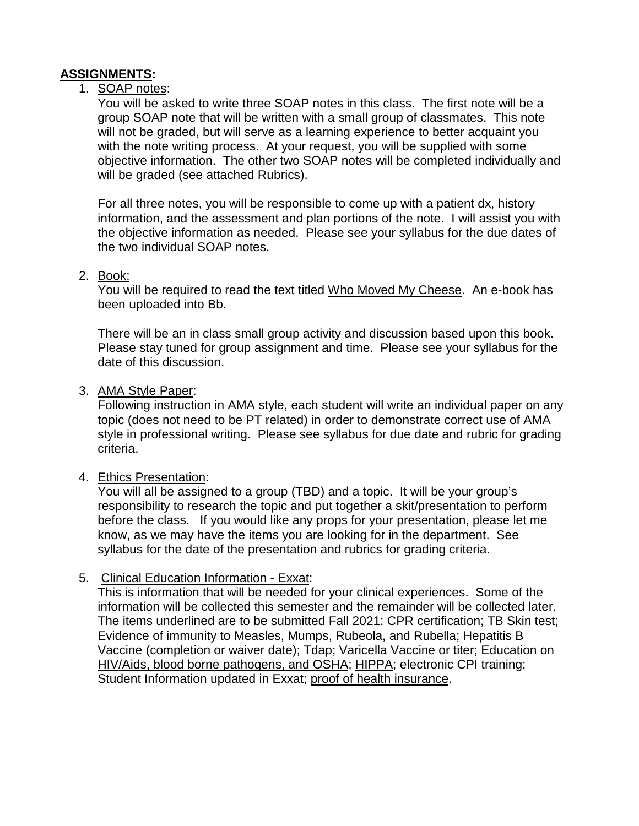# **ASSIGNMENTS:**

### 1. SOAP notes:

You will be asked to write three SOAP notes in this class. The first note will be a group SOAP note that will be written with a small group of classmates. This note will not be graded, but will serve as a learning experience to better acquaint you with the note writing process. At your request, you will be supplied with some objective information. The other two SOAP notes will be completed individually and will be graded (see attached Rubrics).

For all three notes, you will be responsible to come up with a patient dx, history information, and the assessment and plan portions of the note. I will assist you with the objective information as needed. Please see your syllabus for the due dates of the two individual SOAP notes.

### 2. Book:

You will be required to read the text titled Who Moved My Cheese. An e-book has been uploaded into Bb.

There will be an in class small group activity and discussion based upon this book. Please stay tuned for group assignment and time. Please see your syllabus for the date of this discussion.

#### 3. AMA Style Paper:

Following instruction in AMA style, each student will write an individual paper on any topic (does not need to be PT related) in order to demonstrate correct use of AMA style in professional writing. Please see syllabus for due date and rubric for grading criteria.

#### 4. Ethics Presentation:

You will all be assigned to a group (TBD) and a topic. It will be your group's responsibility to research the topic and put together a skit/presentation to perform before the class. If you would like any props for your presentation, please let me know, as we may have the items you are looking for in the department. See syllabus for the date of the presentation and rubrics for grading criteria.

## 5. Clinical Education Information - Exxat:

This is information that will be needed for your clinical experiences. Some of the information will be collected this semester and the remainder will be collected later. The items underlined are to be submitted Fall 2021: CPR certification; TB Skin test; Evidence of immunity to Measles, Mumps, Rubeola, and Rubella; Hepatitis B Vaccine (completion or waiver date); Tdap; Varicella Vaccine or titer; Education on HIV/Aids, blood borne pathogens, and OSHA; HIPPA; electronic CPI training; Student Information updated in Exxat; proof of health insurance.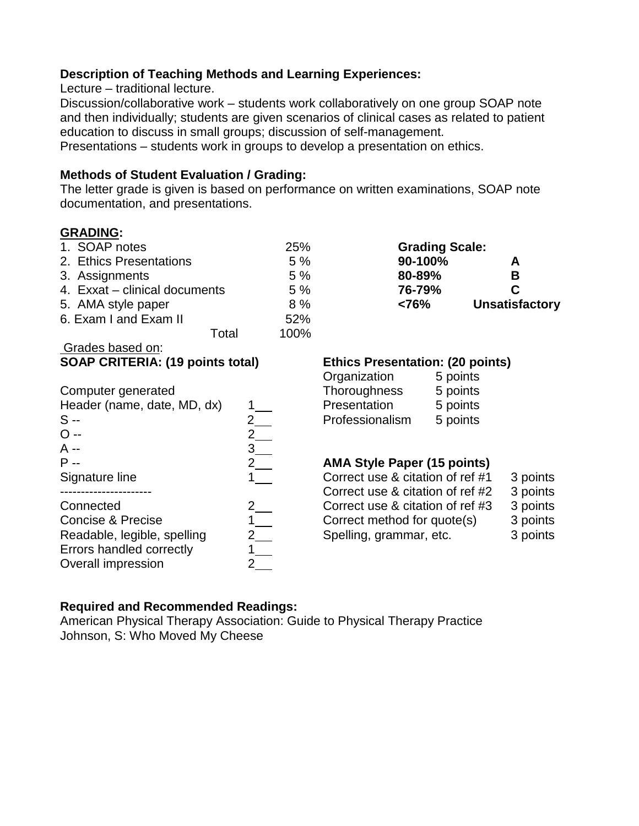### **Description of Teaching Methods and Learning Experiences:**

Lecture – traditional lecture.

Discussion/collaborative work – students work collaboratively on one group SOAP note and then individually; students are given scenarios of clinical cases as related to patient education to discuss in small groups; discussion of self-management.

Presentations – students work in groups to develop a presentation on ethics.

## **Methods of Student Evaluation / Grading:**

The letter grade is given is based on performance on written examinations, SOAP note documentation, and presentations.

## **GRADING:**

Grades based on:

| 1. SOAP notes                 | 25%  | <b>Grading Scale:</b> |                 |
|-------------------------------|------|-----------------------|-----------------|
| 2. Ethics Presentations       | 5%   | 90-100%               | A               |
| 3. Assignments                | 5%   | 80-89%                | В               |
| 4. Exxat - clinical documents | 5%   | 76-79%                | C               |
| 5. AMA style paper            | 8%   | < 76%                 | <b>Unsatist</b> |
| 6. Exam I and Exam II         | 52%  |                       |                 |
| Total                         | 100% |                       |                 |

O -- 2 A --  $3$ 

Readable, legible, spelling Errors handled correctly 1 Overall impression 2

**Grading Scale:** 5. AMA style paper 8 % **<76% Unsatisfactory**

## **SOAP CRITERIA: (19 points total) Ethics Presentation: (20 points)**

| Organization        | 5 points |
|---------------------|----------|
| <b>Thoroughness</b> | 5 points |
| Presentation        | 5 points |
| Professionalism     | 5 points |
|                     |          |

### P -- 2 **AMA Style Paper (15 points)**

|                | Correct use & citation of ref #1 | 3 points |
|----------------|----------------------------------|----------|
|                | Correct use & citation of ref #2 | 3 points |
| $\overline{2}$ | Correct use & citation of ref #3 | 3 points |
|                | Correct method for quote(s)      | 3 points |
|                | Spelling, grammar, etc.          | 3 points |
|                |                                  |          |

## **Required and Recommended Readings:**

American Physical Therapy Association: Guide to Physical Therapy Practice Johnson, S: Who Moved My Cheese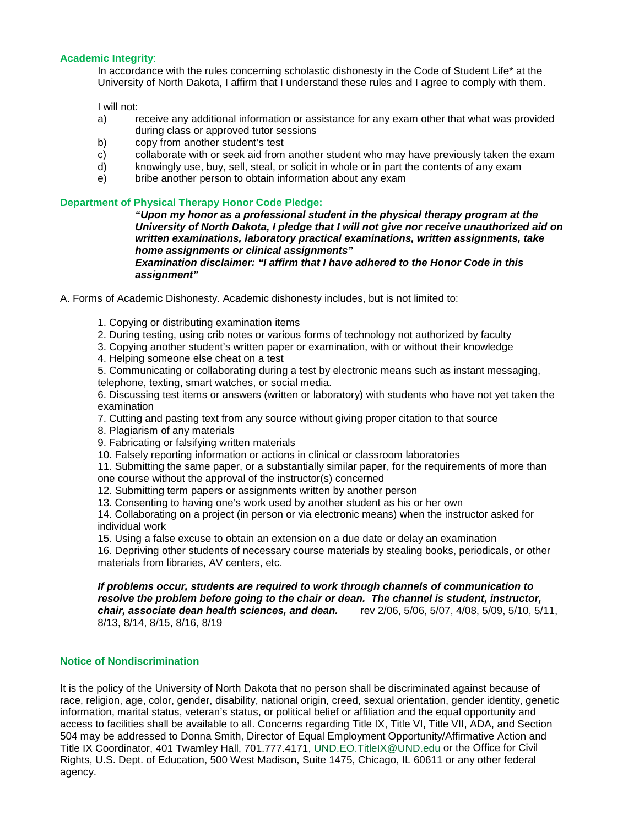#### **Academic Integrity**:

In accordance with the rules concerning scholastic dishonesty in the Code of Student Life\* at the University of North Dakota, I affirm that I understand these rules and I agree to comply with them.

I will not:

- a) receive any additional information or assistance for any exam other that what was provided during class or approved tutor sessions
- b) copy from another student's test
- c) collaborate with or seek aid from another student who may have previously taken the exam
- d) knowingly use, buy, sell, steal, or solicit in whole or in part the contents of any exam
- e) bribe another person to obtain information about any exam

#### **Department of Physical Therapy Honor Code Pledge:**

*"Upon my honor as a professional student in the physical therapy program at the University of North Dakota, I pledge that I will not give nor receive unauthorized aid on written examinations, laboratory practical examinations, written assignments, take home assignments or clinical assignments" Examination disclaimer: "I affirm that I have adhered to the Honor Code in this* 

*assignment"* 

A. Forms of Academic Dishonesty. Academic dishonesty includes, but is not limited to:

- 1. Copying or distributing examination items
- 2. During testing, using crib notes or various forms of technology not authorized by faculty
- 3. Copying another student's written paper or examination, with or without their knowledge
- 4. Helping someone else cheat on a test
- 5. Communicating or collaborating during a test by electronic means such as instant messaging, telephone, texting, smart watches, or social media.

6. Discussing test items or answers (written or laboratory) with students who have not yet taken the examination

- 7. Cutting and pasting text from any source without giving proper citation to that source
- 8. Plagiarism of any materials
- 9. Fabricating or falsifying written materials
- 10. Falsely reporting information or actions in clinical or classroom laboratories
- 11. Submitting the same paper, or a substantially similar paper, for the requirements of more than one course without the approval of the instructor(s) concerned
- 12. Submitting term papers or assignments written by another person
- 
- 13. Consenting to having one's work used by another student as his or her own

14. Collaborating on a project (in person or via electronic means) when the instructor asked for individual work

15. Using a false excuse to obtain an extension on a due date or delay an examination

16. Depriving other students of necessary course materials by stealing books, periodicals, or other materials from libraries, AV centers, etc.

*If problems occur, students are required to work through channels of communication to resolve the problem before going to the chair or dean. The channel is student, instructor, chair, associate dean health sciences, and dean.* rev 2/06, 5/06, 5/07, 4/08, 5/09, 5/10, 5/11, 8/13, 8/14, 8/15, 8/16, 8/19

#### **Notice of Nondiscrimination**

It is the policy of the University of North Dakota that no person shall be discriminated against because of race, religion, age, color, gender, disability, national origin, creed, sexual orientation, gender identity, genetic information, marital status, veteran's status, or political belief or affiliation and the equal opportunity and access to facilities shall be available to all. Concerns regarding Title IX, Title VI, Title VII, ADA, and Section 504 may be addressed to Donna Smith, Director of Equal Employment Opportunity/Affirmative Action and Title IX Coordinator, 401 Twamley Hall, 701.777.4171, [UND.EO.TitleIX@UND.edu](mailto:UND.EO.TitleIX@UND.edu) or the Office for Civil Rights, U.S. Dept. of Education, 500 West Madison, Suite 1475, Chicago, IL 60611 or any other federal agency.